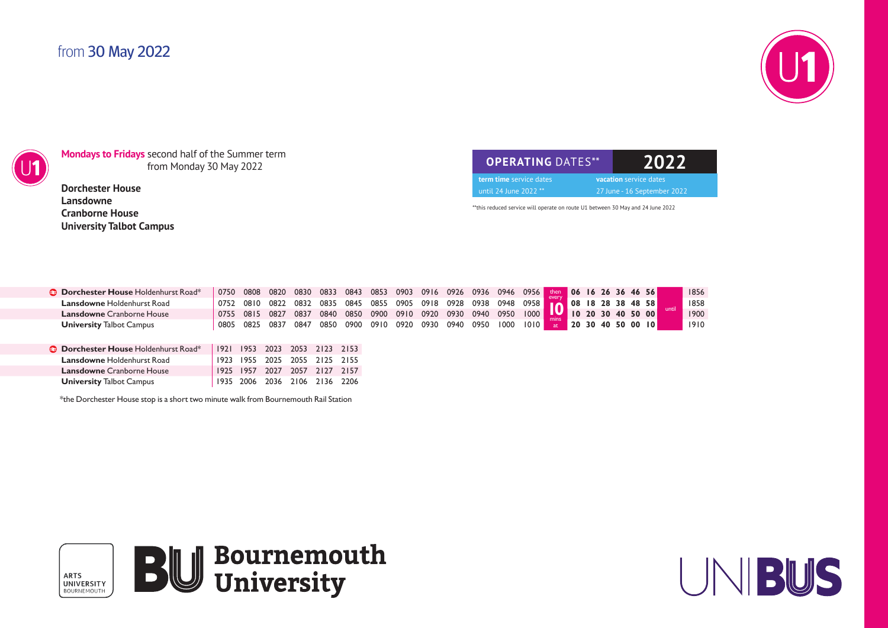## from 30 May 2022





**Mondays to Fridays** second half of the Summer term from Monday 30 May 2022

**Dorchester House Lansdowne Cranborne House University Talbot Campus**

| <b>OPERATING DATES**</b> | 12022 |                               |
|--------------------------|-------|-------------------------------|
| term time service dates  |       | <b>vacation</b> service dates |
| until 24 June 2022 **    |       | 27 June - 16 September 2022   |

\*\*this reduced service will operate on route U1 between 30 May and 24 June 2022

| <b>Dorchester House</b> Holdenhurst Road* | 0750  |      |           |      | 0808 0820 0830 0833 | 0843 | 0853 |      |      | 0903 0916 0926 | 0936 0946 0956           |      |        | then 06 16 26 36 46 56           |  |  |                   |       | 1856 |
|-------------------------------------------|-------|------|-----------|------|---------------------|------|------|------|------|----------------|--------------------------|------|--------|----------------------------------|--|--|-------------------|-------|------|
| <b>Lansdowne Holdenhurst Road</b>         | 0752  |      |           |      | 0810 0822 0832 0835 | 0845 | 0855 |      |      |                | 0905 0918 0928 0938 0948 |      | 0958 I | $\blacksquare$ 08 18 28 38 48 58 |  |  |                   |       | 1858 |
| <b>Lansdowne</b> Cranborne House          | 0755  | 0815 | 0827      | 0837 | 0840                | 0850 | 0900 | 0910 | 0920 | 0930           | 0940                     | 0950 | 1000   | <b>IV</b> 10 20 30 40 50 00      |  |  |                   | until | 1900 |
| <b>University Talbot Campus</b>           | 0805  |      | 0825 0837 | 6847 | 0850                | 0900 | 0910 | 0920 |      |                | 0930 0940 0950           | 1000 | 1010   | at.                              |  |  | 20 30 40 50 00 10 |       | 1910 |
|                                           |       |      |           |      |                     |      |      |      |      |                |                          |      |        |                                  |  |  |                   |       |      |
| <b>Dorchester House</b> Holdenhurst Road* | 1921  | 1953 | 2023      | 2053 | 2123 2153           |      |      |      |      |                |                          |      |        |                                  |  |  |                   |       |      |
| <b>Lansdowne Holdenhurst Road</b>         | 1923  | 1955 | 2025      | 2055 | 2125 2155           |      |      |      |      |                |                          |      |        |                                  |  |  |                   |       |      |
| <b>Lansdowne</b> Cranborne House          | 1925  | 1957 | 2027      | 2057 | 2127 2157           |      |      |      |      |                |                          |      |        |                                  |  |  |                   |       |      |
| <b>University Talbot Campus</b>           | 1935. | 2006 | 2036      | 2106 | 2136 2206           |      |      |      |      |                |                          |      |        |                                  |  |  |                   |       |      |

\*the Dorchester House stop is a short two minute walk from Bournemouth Rail Station



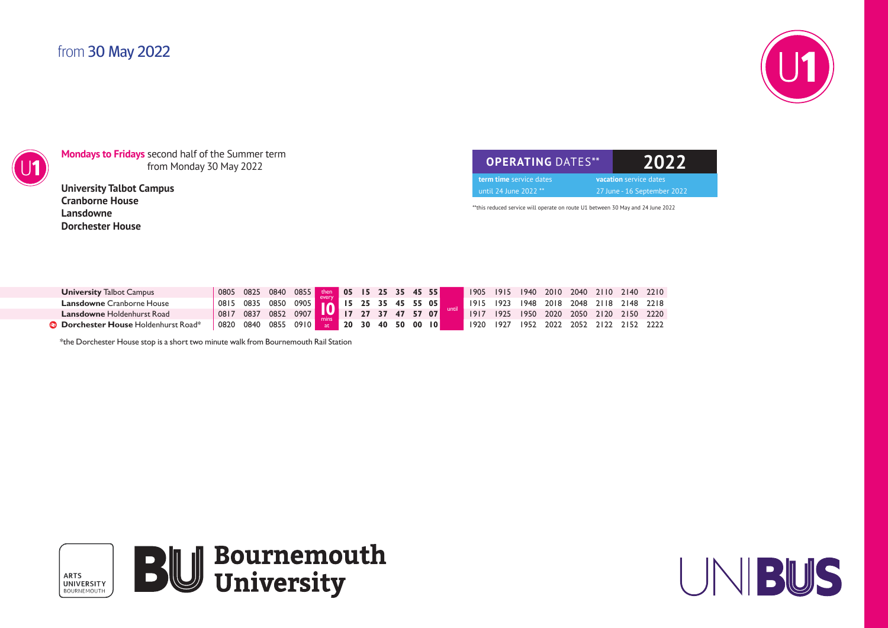## from 30 May 2022





**Mondays to Fridays** second half of the Summer term from Monday 30 May 2022

**University Talbot Campus Cranborne House Lansdowne Dorchester House**

**OPERATING** DATES\*\* **2022 term time** service dates **vacation** service dates until 24 June 2022 \*\* 27 June - 16 September 2022

\*\*this reduced service will operate on route U1 between 30 May and 24 June 2022

| <b>University Talbot Campus</b>             | 0805 | 0825 | 0840                        | 0855 then 05 15 25 35 45 55 |  |  |  |  | 1905 | 1915 | 1940 | 2010 2040 2110 2140 2210           |           |           |  |
|---------------------------------------------|------|------|-----------------------------|-----------------------------|--|--|--|--|------|------|------|------------------------------------|-----------|-----------|--|
| <b>Lansdowne Cranborne House</b>            | 0815 | 0835 | 0850                        | 0905 16 15 25 35 45 55 05   |  |  |  |  | 1915 |      |      | 923   948 2018 2048 2118 2148 2218 |           |           |  |
| <b>Lansdowne Holdenhurst Road</b>           | 0817 | 0837 | 0852 0907 17 27 37 47 57 07 |                             |  |  |  |  | 1917 |      |      | 1925 1950 2020 2050 2120 2150 2220 |           |           |  |
| <b>B</b> Dorchester House Holdenhurst Road* | 0820 | 0840 | 0855                        | $0910$ at 20 30 40 50 00 10 |  |  |  |  | 1920 | 1927 | 1952 | 2022                               | 2052 2122 | 2152 2222 |  |

\*the Dorchester House stop is a short two minute walk from Bournemouth Rail Station